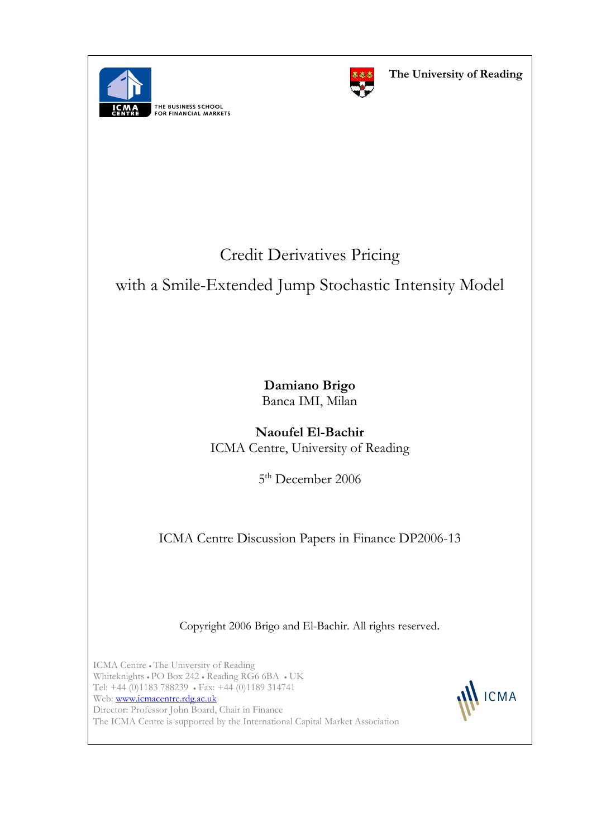

THE BUSINESS SCHOOL<br>FOR FINANCIAL MARKETS



# Credit Derivatives Pricing

with a Smile-Extended Jump Stochastic Intensity Model

Damiano Brigo Banca IMI, Milan

Naoufel El-Bachir ICMA Centre, University of Reading

5<sup>th</sup> December 2006

ICMA Centre Discussion Papers in Finance DP2006-13

Copyright 2006 Brigo and El-Bachir. All rights reserved.

ICMA Centre • The University of Reading Whiteknights • PO Box 242 • Reading RG6 6BA • UK Tel: +44 (0)1183 788239 • Fax: +44 (0)1189 314741 Web: www.icmacentre.rdg.ac.uk Director: Professor John Board, Chair in Finance The ICMA Centre is supported by the International Capital Market Association

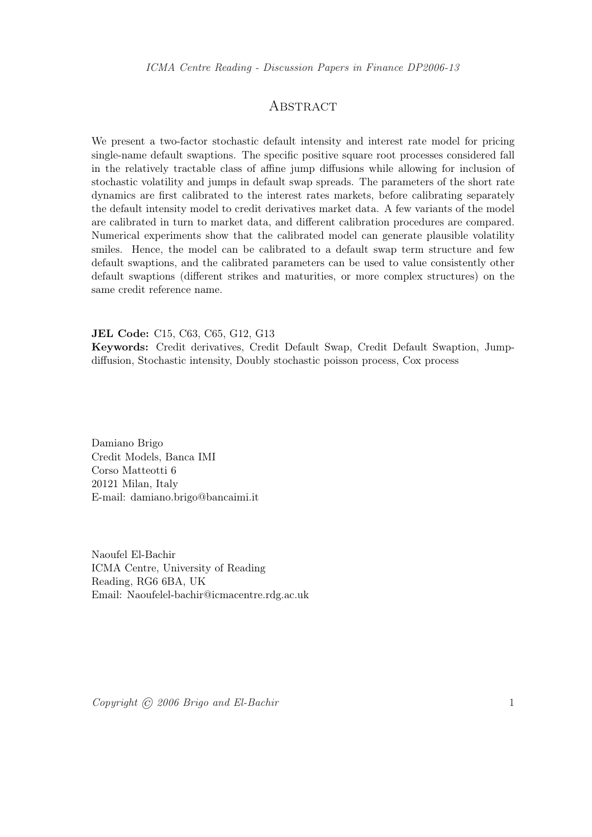## **ABSTRACT**

We present a two-factor stochastic default intensity and interest rate model for pricing single-name default swaptions. The specific positive square root processes considered fall in the relatively tractable class of affine jump diffusions while allowing for inclusion of stochastic volatility and jumps in default swap spreads. The parameters of the short rate dynamics are first calibrated to the interest rates markets, before calibrating separately the default intensity model to credit derivatives market data. A few variants of the model are calibrated in turn to market data, and different calibration procedures are compared. Numerical experiments show that the calibrated model can generate plausible volatility smiles. Hence, the model can be calibrated to a default swap term structure and few default swaptions, and the calibrated parameters can be used to value consistently other default swaptions (different strikes and maturities, or more complex structures) on the same credit reference name.

JEL Code: C15, C63, C65, G12, G13

Keywords: Credit derivatives, Credit Default Swap, Credit Default Swaption, Jumpdiffusion, Stochastic intensity, Doubly stochastic poisson process, Cox process

Damiano Brigo Credit Models, Banca IMI Corso Matteotti 6 20121 Milan, Italy E-mail: damiano.brigo@bancaimi.it

Naoufel El-Bachir ICMA Centre, University of Reading Reading, RG6 6BA, UK Email: Naoufelel-bachir@icmacentre.rdg.ac.uk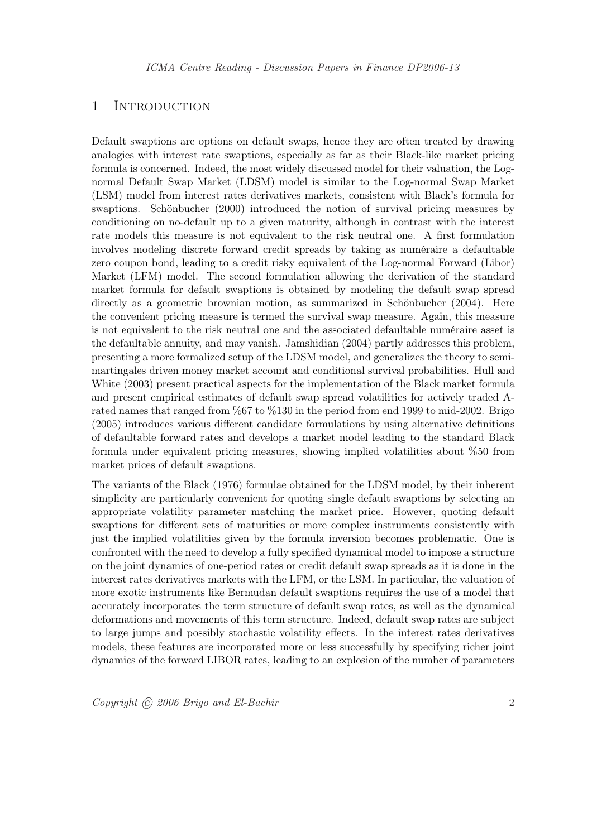## 1 Introduction

Default swaptions are options on default swaps, hence they are often treated by drawing analogies with interest rate swaptions, especially as far as their Black-like market pricing formula is concerned. Indeed, the most widely discussed model for their valuation, the Lognormal Default Swap Market (LDSM) model is similar to the Log-normal Swap Market (LSM) model from interest rates derivatives markets, consistent with Black's formula for swaptions. Schönbucher (2000) introduced the notion of survival pricing measures by conditioning on no-default up to a given maturity, although in contrast with the interest rate models this measure is not equivalent to the risk neutral one. A first formulation involves modeling discrete forward credit spreads by taking as numéraire a defaultable zero coupon bond, leading to a credit risky equivalent of the Log-normal Forward (Libor) Market (LFM) model. The second formulation allowing the derivation of the standard market formula for default swaptions is obtained by modeling the default swap spread directly as a geometric brownian motion, as summarized in Schönbucher (2004). Here the convenient pricing measure is termed the survival swap measure. Again, this measure is not equivalent to the risk neutral one and the associated defaultable numéraire asset is the defaultable annuity, and may vanish. Jamshidian (2004) partly addresses this problem, presenting a more formalized setup of the LDSM model, and generalizes the theory to semimartingales driven money market account and conditional survival probabilities. Hull and White (2003) present practical aspects for the implementation of the Black market formula and present empirical estimates of default swap spread volatilities for actively traded Arated names that ranged from %67 to %130 in the period from end 1999 to mid-2002. Brigo (2005) introduces various different candidate formulations by using alternative definitions of defaultable forward rates and develops a market model leading to the standard Black formula under equivalent pricing measures, showing implied volatilities about %50 from market prices of default swaptions.

The variants of the Black (1976) formulae obtained for the LDSM model, by their inherent simplicity are particularly convenient for quoting single default swaptions by selecting an appropriate volatility parameter matching the market price. However, quoting default swaptions for different sets of maturities or more complex instruments consistently with just the implied volatilities given by the formula inversion becomes problematic. One is confronted with the need to develop a fully specified dynamical model to impose a structure on the joint dynamics of one-period rates or credit default swap spreads as it is done in the interest rates derivatives markets with the LFM, or the LSM. In particular, the valuation of more exotic instruments like Bermudan default swaptions requires the use of a model that accurately incorporates the term structure of default swap rates, as well as the dynamical deformations and movements of this term structure. Indeed, default swap rates are subject to large jumps and possibly stochastic volatility effects. In the interest rates derivatives models, these features are incorporated more or less successfully by specifying richer joint dynamics of the forward LIBOR rates, leading to an explosion of the number of parameters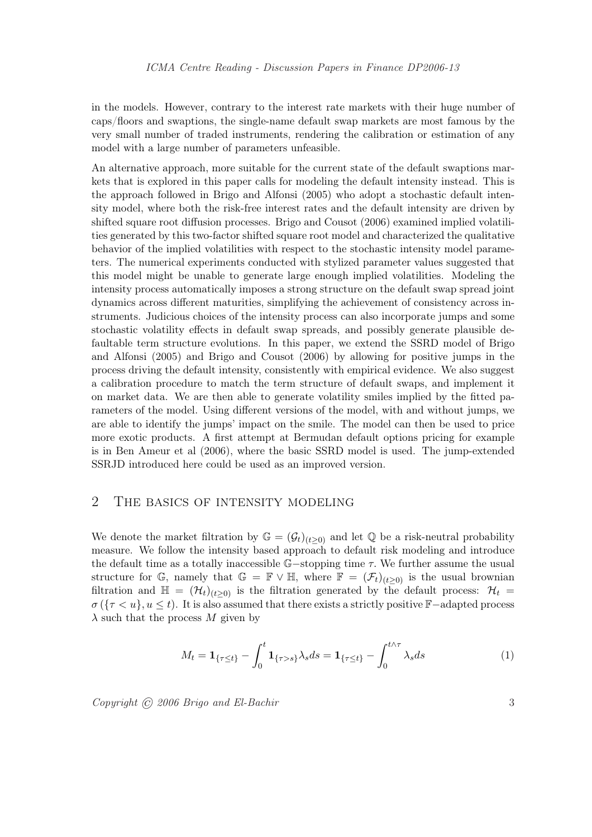in the models. However, contrary to the interest rate markets with their huge number of caps/floors and swaptions, the single-name default swap markets are most famous by the very small number of traded instruments, rendering the calibration or estimation of any model with a large number of parameters unfeasible.

An alternative approach, more suitable for the current state of the default swaptions markets that is explored in this paper calls for modeling the default intensity instead. This is the approach followed in Brigo and Alfonsi (2005) who adopt a stochastic default intensity model, where both the risk-free interest rates and the default intensity are driven by shifted square root diffusion processes. Brigo and Cousot (2006) examined implied volatilities generated by this two-factor shifted square root model and characterized the qualitative behavior of the implied volatilities with respect to the stochastic intensity model parameters. The numerical experiments conducted with stylized parameter values suggested that this model might be unable to generate large enough implied volatilities. Modeling the intensity process automatically imposes a strong structure on the default swap spread joint dynamics across different maturities, simplifying the achievement of consistency across instruments. Judicious choices of the intensity process can also incorporate jumps and some stochastic volatility effects in default swap spreads, and possibly generate plausible defaultable term structure evolutions. In this paper, we extend the SSRD model of Brigo and Alfonsi (2005) and Brigo and Cousot (2006) by allowing for positive jumps in the process driving the default intensity, consistently with empirical evidence. We also suggest a calibration procedure to match the term structure of default swaps, and implement it on market data. We are then able to generate volatility smiles implied by the fitted parameters of the model. Using different versions of the model, with and without jumps, we are able to identify the jumps' impact on the smile. The model can then be used to price more exotic products. A first attempt at Bermudan default options pricing for example is in Ben Ameur et al (2006), where the basic SSRD model is used. The jump-extended SSRJD introduced here could be used as an improved version.

## 2 The basics of intensity modeling

We denote the market filtration by  $\mathbb{G} = (\mathcal{G}_t)_{(t>0)}$  and let  $\mathbb{Q}$  be a risk-neutral probability measure. We follow the intensity based approach to default risk modeling and introduce the default time as a totally inaccessible  $\mathbb{G}-$ stopping time  $\tau$ . We further assume the usual structure for G, namely that  $\mathbb{G} = \mathbb{F} \vee \mathbb{H}$ , where  $\mathbb{F} = (\mathcal{F}_t)_{(t>0)}$  is the usual brownian filtration and  $\mathbb{H} = (\mathcal{H}_t)_{(t>0)}$  is the filtration generated by the default process:  $\mathcal{H}_t =$  $\sigma$  ( $\{\tau < u\}, u \le t$ ). It is also assumed that there exists a strictly positive F-adapted process  $\lambda$  such that the process M given by

$$
M_t = \mathbf{1}_{\{\tau \le t\}} - \int_0^t \mathbf{1}_{\{\tau > s\}} \lambda_s ds = \mathbf{1}_{\{\tau \le t\}} - \int_0^{t \wedge \tau} \lambda_s ds \tag{1}
$$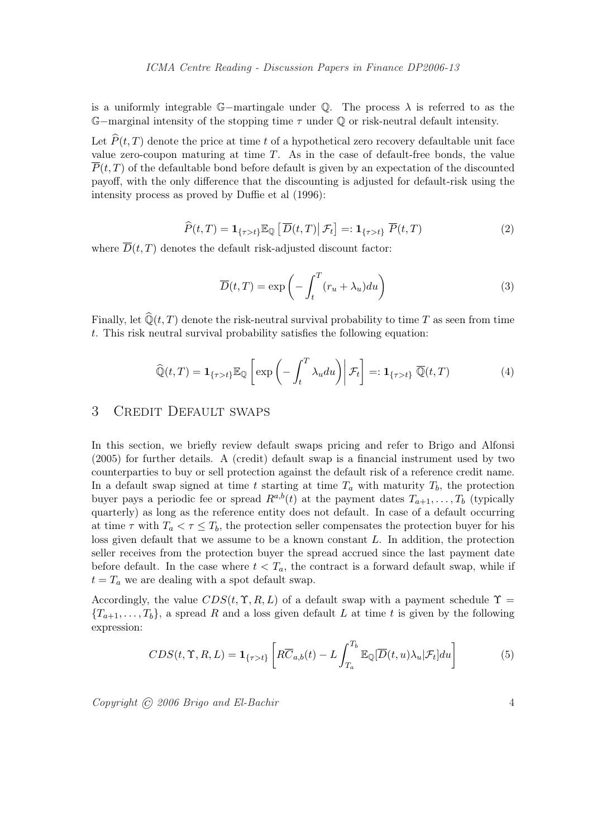is a uniformly integrable  $\mathbb{G}-$ martingale under  $\mathbb{Q}$ . The process  $\lambda$  is referred to as the  $\mathbb{G}-$ marginal intensity of the stopping time  $\tau$  under  $\mathbb{Q}$  or risk-neutral default intensity.

Let  $\widehat{P}(t, T)$  denote the price at time t of a hypothetical zero recovery defaultable unit face value zero-coupon maturing at time  $T$ . As in the case of default-free bonds, the value  $\overline{P}(t,T)$  of the defaultable bond before default is given by an expectation of the discounted payoff, with the only difference that the discounting is adjusted for default-risk using the intensity process as proved by Duffie et al (1996):

$$
\widehat{P}(t,T) = \mathbf{1}_{\{\tau > t\}} \mathbb{E}_{\mathbb{Q}} \left[ \overline{D}(t,T) \middle| \mathcal{F}_t \right] =: \mathbf{1}_{\{\tau > t\}} \overline{P}(t,T) \tag{2}
$$

where  $\overline{D}(t,T)$  denotes the default risk-adjusted discount factor:

$$
\overline{D}(t,T) = \exp\left(-\int_{t}^{T} (r_u + \lambda_u) du\right)
$$
\n(3)

Finally, let  $\widehat{Q}(t, T)$  denote the risk-neutral survival probability to time T as seen from time t. This risk neutral survival probability satisfies the following equation:

$$
\widehat{\mathbb{Q}}(t,T) = \mathbf{1}_{\{\tau > t\}} \mathbb{E}_{\mathbb{Q}} \left[ \exp \left( - \int_t^T \lambda_u du \right) \middle| \mathcal{F}_t \right] =: \mathbf{1}_{\{\tau > t\}} \overline{\mathbb{Q}}(t,T) \tag{4}
$$

## 3 Credit Default swaps

In this section, we briefly review default swaps pricing and refer to Brigo and Alfonsi (2005) for further details. A (credit) default swap is a financial instrument used by two counterparties to buy or sell protection against the default risk of a reference credit name. In a default swap signed at time t starting at time  $T_a$  with maturity  $T_b$ , the protection buyer pays a periodic fee or spread  $R^{a,b}(t)$  at the payment dates  $T_{a+1}, \ldots, T_b$  (typically quarterly) as long as the reference entity does not default. In case of a default occurring at time  $\tau$  with  $T_a < \tau \leq T_b$ , the protection seller compensates the protection buyer for his loss given default that we assume to be a known constant  $L$ . In addition, the protection seller receives from the protection buyer the spread accrued since the last payment date before default. In the case where  $t < T_a$ , the contract is a forward default swap, while if  $t = T_a$  we are dealing with a spot default swap.

Accordingly, the value  $CDS(t, \Upsilon, R, L)$  of a default swap with a payment schedule  $\Upsilon$  ${T_{a+1}, \ldots, T_b}$ , a spread R and a loss given default L at time t is given by the following expression:

$$
CDS(t, \Upsilon, R, L) = \mathbf{1}_{\{\tau > t\}} \left[ R \overline{C}_{a,b}(t) - L \int_{T_a}^{T_b} \mathbb{E}_{\mathbb{Q}}[\overline{D}(t, u)\lambda_u | \mathcal{F}_t] du \right]
$$
(5)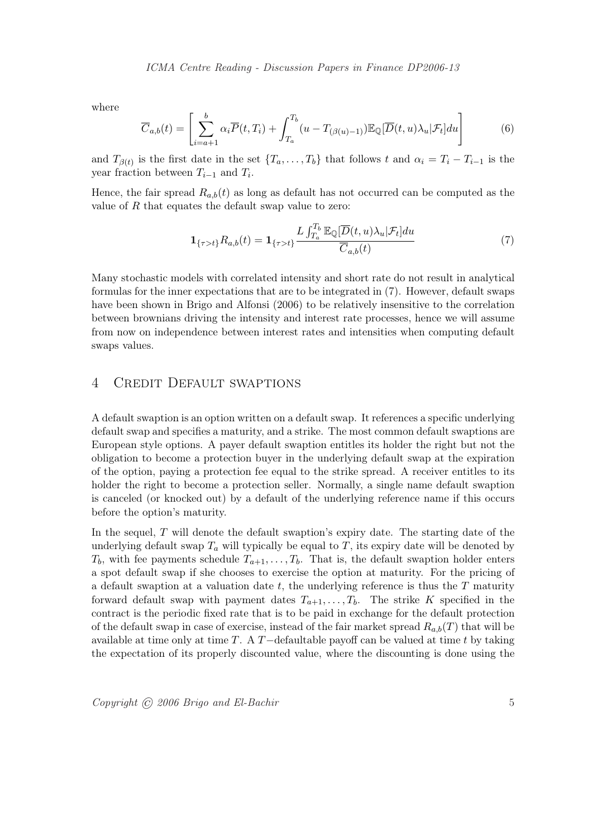where

$$
\overline{C}_{a,b}(t) = \left[ \sum_{i=a+1}^{b} \alpha_i \overline{P}(t,T_i) + \int_{T_a}^{T_b} (u - T_{(\beta(u)-1)}) \mathbb{E}_{\mathbb{Q}}[\overline{D}(t,u)\lambda_u | \mathcal{F}_t] du \right]
$$
(6)

and  $T_{\beta(t)}$  is the first date in the set  $\{T_a, \ldots, T_b\}$  that follows t and  $\alpha_i = T_i - T_{i-1}$  is the year fraction between  $T_{i-1}$  and  $T_i$ .

Hence, the fair spread  $R_{a,b}(t)$  as long as default has not occurred can be computed as the value of R that equates the default swap value to zero:

$$
\mathbf{1}_{\{\tau>t\}}R_{a,b}(t) = \mathbf{1}_{\{\tau>t\}} \frac{L \int_{T_a}^{T_b} \mathbb{E}_{\mathbb{Q}}[\overline{D}(t,u)\lambda_u|\mathcal{F}_t]du}{\overline{C}_{a,b}(t)}
$$
(7)

Many stochastic models with correlated intensity and short rate do not result in analytical formulas for the inner expectations that are to be integrated in (7). However, default swaps have been shown in Brigo and Alfonsi (2006) to be relatively insensitive to the correlation between brownians driving the intensity and interest rate processes, hence we will assume from now on independence between interest rates and intensities when computing default swaps values.

## 4 Credit Default swaptions

A default swaption is an option written on a default swap. It references a specific underlying default swap and specifies a maturity, and a strike. The most common default swaptions are European style options. A payer default swaption entitles its holder the right but not the obligation to become a protection buyer in the underlying default swap at the expiration of the option, paying a protection fee equal to the strike spread. A receiver entitles to its holder the right to become a protection seller. Normally, a single name default swaption is canceled (or knocked out) by a default of the underlying reference name if this occurs before the option's maturity.

In the sequel,  $T$  will denote the default swaption's expiry date. The starting date of the underlying default swap  $T_a$  will typically be equal to T, its expiry date will be denoted by  $T_b$ , with fee payments schedule  $T_{a+1}, \ldots, T_b$ . That is, the default swaption holder enters a spot default swap if she chooses to exercise the option at maturity. For the pricing of a default swaption at a valuation date  $t$ , the underlying reference is thus the  $T$  maturity forward default swap with payment dates  $T_{a+1}, \ldots, T_b$ . The strike K specified in the contract is the periodic fixed rate that is to be paid in exchange for the default protection of the default swap in case of exercise, instead of the fair market spread  $R_{a,b}(T)$  that will be available at time only at time  $T$ . A  $T$ −defaultable payoff can be valued at time t by taking the expectation of its properly discounted value, where the discounting is done using the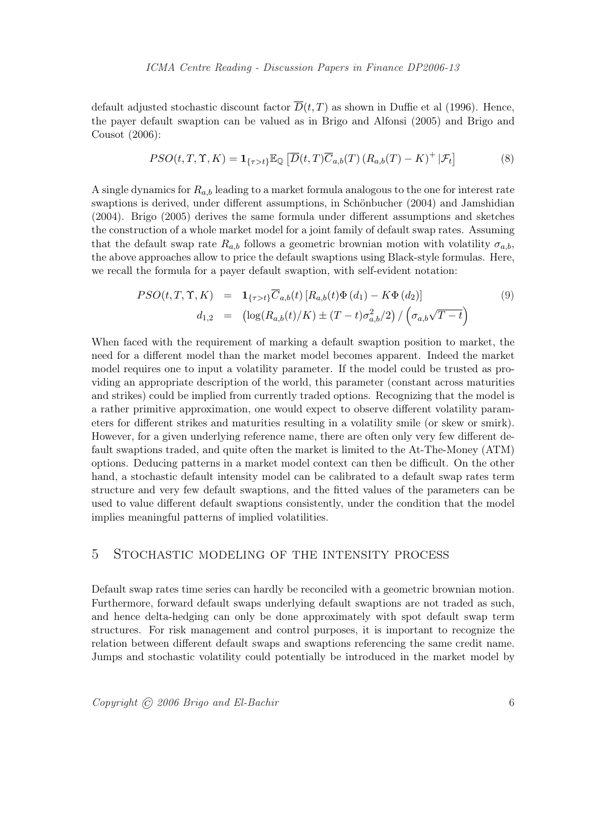default adjusted stochastic discount factor  $\overline{D}(t, T)$  as shown in Duffie et al (1996). Hence, the payer default swaption can be valued as in Brigo and Alfonsi (2005) and Brigo and Cousot (2006):

$$
PSO(t, T, \Upsilon, K) = \mathbf{1}_{\{\tau > t\}} \mathbb{E}_{\mathbb{Q}} \left[ \overline{D}(t, T) \overline{C}_{a,b}(T) \left( R_{a,b}(T) - K \right)^{+} | \mathcal{F}_{t} \right]
$$
(8)

A single dynamics for  $R_{a,b}$  leading to a market formula analogous to the one for interest rate swaptions is derived, under different assumptions, in Schönbucher (2004) and Jamshidian (2004). Brigo (2005) derives the same formula under different assumptions and sketches the construction of a whole market model for a joint family of default swap rates. Assuming that the default swap rate  $R_{a,b}$  follows a geometric brownian motion with volatility  $\sigma_{a,b}$ , the above approaches allow to price the default swaptions using Black-style formulas. Here, we recall the formula for a payer default swaption, with self-evident notation:

$$
PSO(t, T, \Upsilon, K) = \mathbf{1}_{\{\tau > t\}} \overline{C}_{a,b}(t) [R_{a,b}(t) \Phi(d_1) - K \Phi(d_2)]
$$
(9)  

$$
d_{1,2} = (\log(R_{a,b}(t)/K) \pm (T-t) \sigma_{a,b}^2/2) / (\sigma_{a,b} \sqrt{T-t})
$$

When faced with the requirement of marking a default swaption position to market, the need for a different model than the market model becomes apparent. Indeed the market model requires one to input a volatility parameter. If the model could be trusted as providing an appropriate description of the world, this parameter (constant across maturities and strikes) could be implied from currently traded options. Recognizing that the model is a rather primitive approximation, one would expect to observe different volatility parameters for different strikes and maturities resulting in a volatility smile (or skew or smirk). However, for a given underlying reference name, there are often only very few different default swaptions traded, and quite often the market is limited to the At-The-Money (ATM) options. Deducing patterns in a market model context can then be difficult. On the other hand, a stochastic default intensity model can be calibrated to a default swap rates term structure and very few default swaptions, and the fitted values of the parameters can be used to value different default swaptions consistently, under the condition that the model implies meaningful patterns of implied volatilities.

#### 5 Stochastic modeling of the intensity process

Default swap rates time series can hardly be reconciled with a geometric brownian motion. Furthermore, forward default swaps underlying default swaptions are not traded as such, and hence delta-hedging can only be done approximately with spot default swap term structures. For risk management and control purposes, it is important to recognize the relation between different default swaps and swaptions referencing the same credit name. Jumps and stochastic volatility could potentially be introduced in the market model by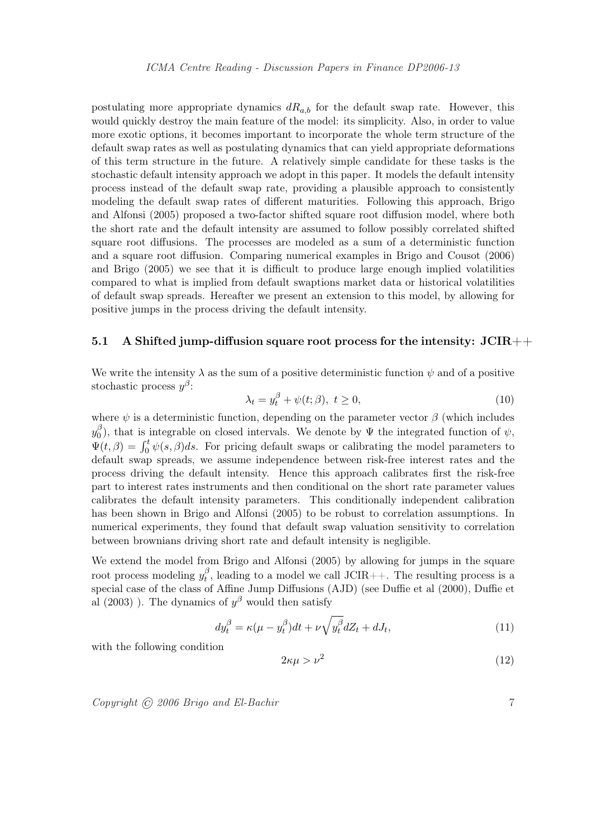postulating more appropriate dynamics  $dR_{a,b}$  for the default swap rate. However, this would quickly destroy the main feature of the model: its simplicity. Also, in order to value more exotic options, it becomes important to incorporate the whole term structure of the default swap rates as well as postulating dynamics that can yield appropriate deformations of this term structure in the future. A relatively simple candidate for these tasks is the stochastic default intensity approach we adopt in this paper. It models the default intensity process instead of the default swap rate, providing a plausible approach to consistently modeling the default swap rates of different maturities. Following this approach, Brigo and Alfonsi (2005) proposed a two-factor shifted square root diffusion model, where both the short rate and the default intensity are assumed to follow possibly correlated shifted square root diffusions. The processes are modeled as a sum of a deterministic function and a square root diffusion. Comparing numerical examples in Brigo and Cousot (2006) and Brigo (2005) we see that it is difficult to produce large enough implied volatilities compared to what is implied from default swaptions market data or historical volatilities of default swap spreads. Hereafter we present an extension to this model, by allowing for positive jumps in the process driving the default intensity.

#### 5.1 A Shifted jump-diffusion square root process for the intensity:  $JCIR++$

We write the intensity  $\lambda$  as the sum of a positive deterministic function  $\psi$  and of a positive stochastic process  $y^{\beta}$ :

$$
\lambda_t = y_t^{\beta} + \psi(t; \beta), \ t \ge 0,
$$
\n(10)

where  $\psi$  is a deterministic function, depending on the parameter vector  $\beta$  (which includes  $y_0^{\beta}$  $\phi$ <sub>0</sub>), that is integrable on closed intervals. We denote by Ψ the integrated function of  $\psi$ ,  $\Psi_0$ ), that is integrable on closed intervals. We denote by  $\Psi$  the integrated function of  $\psi$ ,  $\Psi(t,\beta) = \int_0^t \psi(s,\beta)ds$ . For pricing default swaps or calibrating the model parameters to default swap spreads, we assume independence between risk-free interest rates and the process driving the default intensity. Hence this approach calibrates first the risk-free part to interest rates instruments and then conditional on the short rate parameter values calibrates the default intensity parameters. This conditionally independent calibration has been shown in Brigo and Alfonsi (2005) to be robust to correlation assumptions. In numerical experiments, they found that default swap valuation sensitivity to correlation between brownians driving short rate and default intensity is negligible.

We extend the model from Brigo and Alfonsi (2005) by allowing for jumps in the square root process modeling  $y_t^{\beta}$  $t<sub>t</sub><sup>\beta</sup>$ , leading to a model we call JCIR++. The resulting process is a special case of the class of Affine Jump Diffusions (AJD) (see Duffie et al (2000), Duffie et al (2003)). The dynamics of  $y^{\beta}$  would then satisfy

$$
dy_t^{\beta} = \kappa(\mu - y_t^{\beta})dt + \nu \sqrt{y_t^{\beta}}dZ_t + dJ_t,
$$
\n(11)

with the following condition

$$
2\kappa\mu > \nu^2 \tag{12}
$$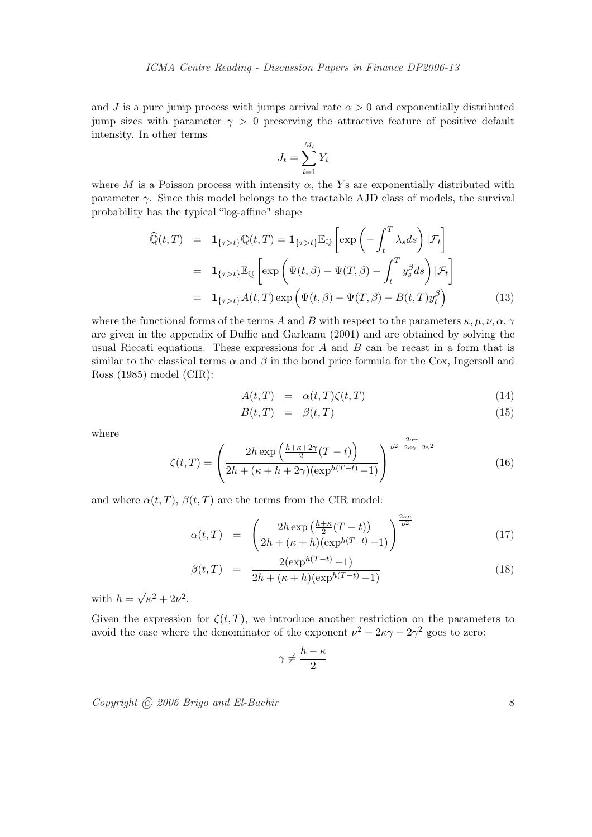and J is a pure jump process with jumps arrival rate  $\alpha > 0$  and exponentially distributed jump sizes with parameter  $\gamma > 0$  preserving the attractive feature of positive default intensity. In other terms

$$
J_t = \sum_{i=1}^{M_t} Y_i
$$

where M is a Poisson process with intensity  $\alpha$ , the Ys are exponentially distributed with parameter  $\gamma$ . Since this model belongs to the tractable AJD class of models, the survival probability has the typical "log-affine" shape

$$
\widehat{\mathbb{Q}}(t,T) = \mathbf{1}_{\{\tau > t\}} \overline{\mathbb{Q}}(t,T) = \mathbf{1}_{\{\tau > t\}} \mathbb{E}_{\mathbb{Q}} \left[ \exp \left( - \int_t^T \lambda_s ds \right) | \mathcal{F}_t \right]
$$
\n
$$
= \mathbf{1}_{\{\tau > t\}} \mathbb{E}_{\mathbb{Q}} \left[ \exp \left( \Psi(t,\beta) - \Psi(T,\beta) - \int_t^T y_s^\beta ds \right) | \mathcal{F}_t \right]
$$
\n
$$
= \mathbf{1}_{\{\tau > t\}} A(t,T) \exp \left( \Psi(t,\beta) - \Psi(T,\beta) - B(t,T) y_t^\beta \right) \tag{13}
$$

where the functional forms of the terms A and B with respect to the parameters  $\kappa, \mu, \nu, \alpha, \gamma$ are given in the appendix of Duffie and Garleanu (2001) and are obtained by solving the usual Riccati equations. These expressions for  $A$  and  $B$  can be recast in a form that is similar to the classical terms  $\alpha$  and  $\beta$  in the bond price formula for the Cox, Ingersoll and Ross (1985) model (CIR):

$$
A(t,T) = \alpha(t,T)\zeta(t,T) \tag{14}
$$

$$
B(t,T) = \beta(t,T) \tag{15}
$$

where

$$
\zeta(t,T) = \left(\frac{2h\exp\left(\frac{h+\kappa+2\gamma}{2}(T-t)\right)}{2h+(\kappa+h+2\gamma)(\exp^{h(T-t)}-1)}\right)^{\frac{2\alpha\gamma}{\nu^2-2\kappa\gamma-2\gamma^2}}\tag{16}
$$

and where  $\alpha(t, T)$ ,  $\beta(t, T)$  are the terms from the CIR model:

$$
\alpha(t,T) = \left(\frac{2h\exp\left(\frac{h+\kappa}{2}(T-t)\right)}{2h+(\kappa+h)(\exp^{h(T-t)}-1)}\right)^{\frac{2\kappa\mu}{\nu^2}}\tag{17}
$$

$$
\beta(t,T) = \frac{2(\exp^{h(T-t)} - 1)}{2h + (\kappa + h)(\exp^{h(T-t)} - 1)}
$$
\n(18)

with  $h =$ √  $\sqrt{\kappa^2+2\nu^2}$ .

Given the expression for  $\zeta(t,T)$ , we introduce another restriction on the parameters to avoid the case where the denominator of the exponent  $\nu^2 - 2\kappa\gamma - 2\gamma^2$  goes to zero:

$$
\gamma\neq \frac{h-\kappa}{2}
$$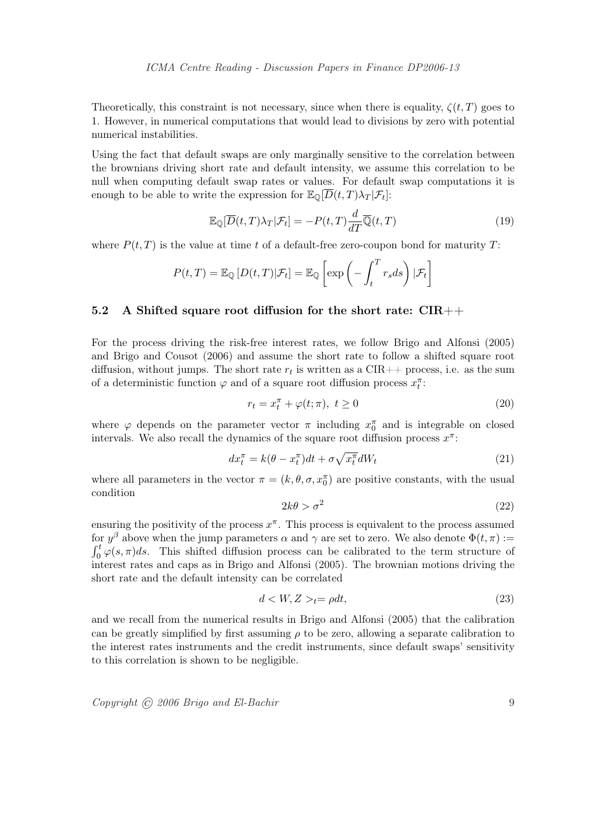Theoretically, this constraint is not necessary, since when there is equality,  $\zeta(t, T)$  goes to 1. However, in numerical computations that would lead to divisions by zero with potential numerical instabilities.

Using the fact that default swaps are only marginally sensitive to the correlation between the brownians driving short rate and default intensity, we assume this correlation to be null when computing default swap rates or values. For default swap computations it is enough to be able to write the expression for  $\mathbb{E}_{\mathbb{Q}}[D(t,T)\lambda_T|\mathcal{F}_t]$ :

$$
\mathbb{E}_{\mathbb{Q}}[\overline{D}(t,T)\lambda_T|\mathcal{F}_t] = -P(t,T)\frac{d}{dT}\overline{\mathbb{Q}}(t,T)
$$
\n(19)

where  $P(t, T)$  is the value at time t of a default-free zero-coupon bond for maturity T:

$$
P(t,T) = \mathbb{E}_{\mathbb{Q}}\left[D(t,T)|\mathcal{F}_t\right] = \mathbb{E}_{\mathbb{Q}}\left[\exp\left(-\int_t^T r_s ds\right)|\mathcal{F}_t\right]
$$

#### 5.2 A Shifted square root diffusion for the short rate:  $\text{CIR}_{++}$

For the process driving the risk-free interest rates, we follow Brigo and Alfonsi (2005) and Brigo and Cousot (2006) and assume the short rate to follow a shifted square root diffusion, without jumps. The short rate  $r_t$  is written as a CIR++ process, i.e. as the sum of a deterministic function  $\varphi$  and of a square root diffusion process  $x_i^{\pi}$ :

$$
r_t = x_t^{\pi} + \varphi(t; \pi), \ t \ge 0 \tag{20}
$$

where  $\varphi$  depends on the parameter vector  $\pi$  including  $x_0^{\pi}$  and is integrable on closed intervals. We also recall the dynamics of the square root diffusion process  $x^{\pi}$ :

$$
dx_t^{\pi} = k(\theta - x_t^{\pi})dt + \sigma \sqrt{x_t^{\pi}}dW_t
$$
\n(21)

where all parameters in the vector  $\pi = (k, \theta, \sigma, x_0^{\pi})$  are positive constants, with the usual condition

$$
2k\theta > \sigma^2 \tag{22}
$$

ensuring the positivity of the process  $x^{\pi}$ . This process is equivalent to the process assumed for  $y^{\beta}$  above when the jump parameters  $\alpha$  and  $\gamma$  are set to zero. We also denote  $\Phi(t,\pi) :=$  $\int_0^t \varphi(s,\pi)ds$ . This shifted diffusion process can be calibrated to the term structure of interest rates and caps as in Brigo and Alfonsi (2005). The brownian motions driving the short rate and the default intensity can be correlated

$$
d < W, Z >_{t} = \rho dt,\tag{23}
$$

and we recall from the numerical results in Brigo and Alfonsi (2005) that the calibration can be greatly simplified by first assuming  $\rho$  to be zero, allowing a separate calibration to the interest rates instruments and the credit instruments, since default swaps' sensitivity to this correlation is shown to be negligible.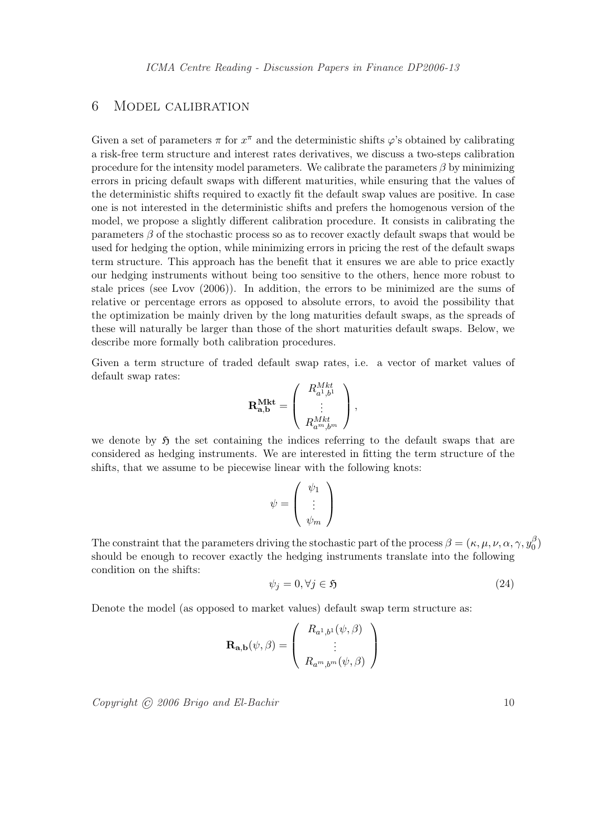## 6 Model calibration

Given a set of parameters  $\pi$  for  $x^{\pi}$  and the deterministic shifts  $\varphi$ 's obtained by calibrating a risk-free term structure and interest rates derivatives, we discuss a two-steps calibration procedure for the intensity model parameters. We calibrate the parameters  $\beta$  by minimizing errors in pricing default swaps with different maturities, while ensuring that the values of the deterministic shifts required to exactly fit the default swap values are positive. In case one is not interested in the deterministic shifts and prefers the homogenous version of the model, we propose a slightly different calibration procedure. It consists in calibrating the parameters  $\beta$  of the stochastic process so as to recover exactly default swaps that would be used for hedging the option, while minimizing errors in pricing the rest of the default swaps term structure. This approach has the benefit that it ensures we are able to price exactly our hedging instruments without being too sensitive to the others, hence more robust to stale prices (see Lvov (2006)). In addition, the errors to be minimized are the sums of relative or percentage errors as opposed to absolute errors, to avoid the possibility that the optimization be mainly driven by the long maturities default swaps, as the spreads of these will naturally be larger than those of the short maturities default swaps. Below, we describe more formally both calibration procedures.

Given a term structure of traded default swap rates, i.e. a vector of market values of default swap rates:  $\overline{\phantom{a}}$ RMkt  $\mathbf{r}$ 

$$
\mathbf{R}_{\mathbf{a},\mathbf{b}}^{\mathbf{Mkt}} = \left( \begin{array}{c} R_{a^1,b^1}^{Mkt} \\ \vdots \\ R_{a^m,b^m}^{Mkt} \end{array} \right),
$$

we denote by  $\mathfrak{H}$  the set containing the indices referring to the default swaps that are considered as hedging instruments. We are interested in fitting the term structure of the shifts, that we assume to be piecewise linear with the following knots:

$$
\psi = \left(\begin{array}{c} \psi_1 \\ \vdots \\ \psi_m \end{array}\right)
$$

The constraint that the parameters driving the stochastic part of the process  $\beta = (\kappa, \mu, \nu, \alpha, \gamma, y_0^{\beta})$  $\binom{5}{0}$ should be enough to recover exactly the hedging instruments translate into the following condition on the shifts:

$$
\psi_j = 0, \forall j \in \mathfrak{H} \tag{24}
$$

Denote the model (as opposed to market values) default swap term structure as:

$$
\mathbf{R}_{\mathbf{a},\mathbf{b}}(\psi,\beta) = \left(\begin{array}{c} R_{a^1,b^1}(\psi,\beta) \\ \vdots \\ R_{a^m,b^m}(\psi,\beta) \end{array}\right)
$$

 $Copyright \textdegree (0)} 2006 \textdegree (Brigo and El-Bachir \textcolor{red}{0)} 10$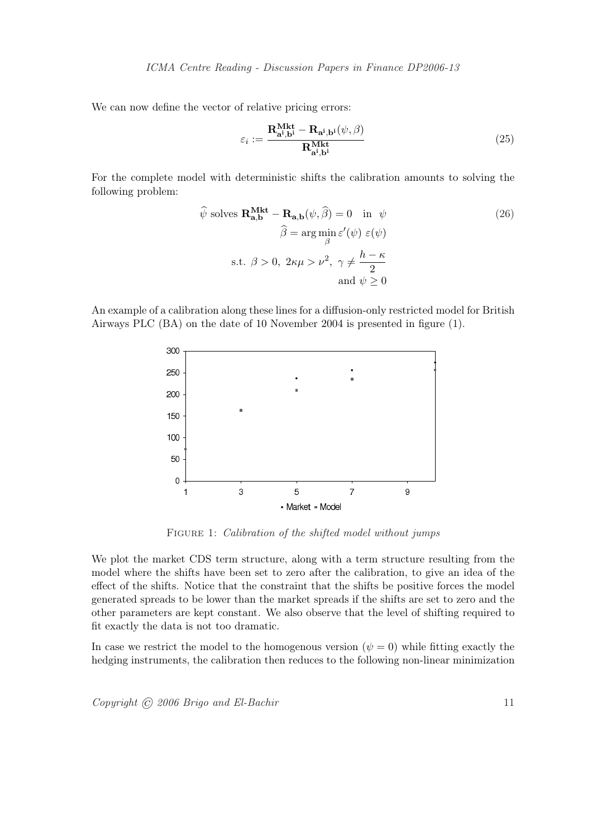We can now define the vector of relative pricing errors:

$$
\varepsilon_{i} := \frac{\mathbf{R}_{\mathbf{a}^{i},\mathbf{b}^{i}}^{\mathbf{Mkt}} - \mathbf{R}_{\mathbf{a}^{i},\mathbf{b}^{i}}(\psi,\beta)}{\mathbf{R}_{\mathbf{a}^{i},\mathbf{b}^{i}}^{\mathbf{Mkt}}}
$$
(25)

For the complete model with deterministic shifts the calibration amounts to solving the following problem:

$$
\hat{\psi} \text{ solves } \mathbf{R}_{\mathbf{a},\mathbf{b}}^{\mathbf{Mkt}} - \mathbf{R}_{\mathbf{a},\mathbf{b}}(\psi,\hat{\beta}) = 0 \quad \text{in } \psi
$$
\n
$$
\hat{\beta} = \arg \min_{\beta} \varepsilon'(\psi) \ \varepsilon(\psi)
$$
\n
$$
\text{s.t. } \beta > 0, \ 2\kappa\mu > \nu^2, \ \gamma \neq \frac{h - \kappa}{2}
$$
\n
$$
\text{and } \psi \geq 0
$$
\n(26)

An example of a calibration along these lines for a diffusion-only restricted model for British Airways PLC (BA) on the date of 10 November 2004 is presented in figure (1).



FIGURE 1: Calibration of the shifted model without jumps

We plot the market CDS term structure, along with a term structure resulting from the model where the shifts have been set to zero after the calibration, to give an idea of the effect of the shifts. Notice that the constraint that the shifts be positive forces the model generated spreads to be lower than the market spreads if the shifts are set to zero and the other parameters are kept constant. We also observe that the level of shifting required to fit exactly the data is not too dramatic.

In case we restrict the model to the homogenous version ( $\psi = 0$ ) while fitting exactly the hedging instruments, the calibration then reduces to the following non-linear minimization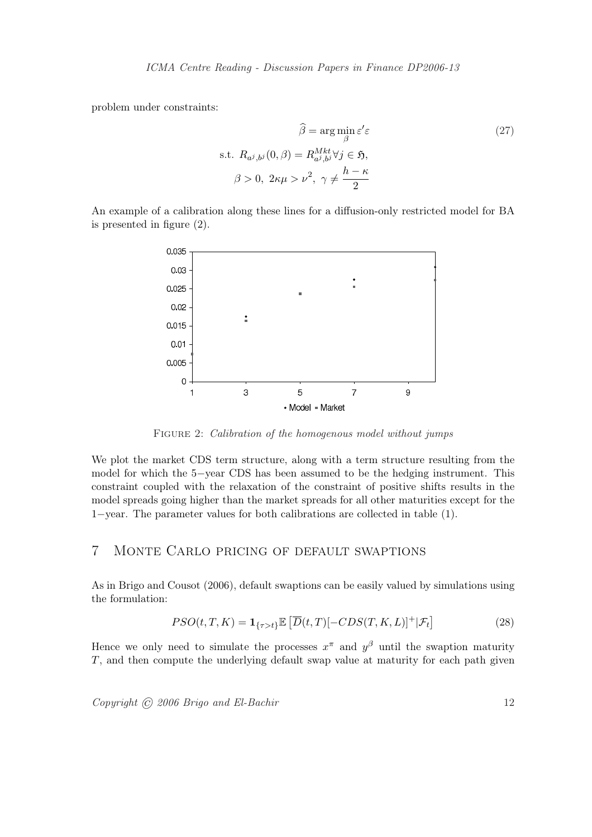problem under constraints:

$$
\hat{\beta} = \arg \min_{\beta} \varepsilon' \varepsilon
$$
\n
$$
\text{s.t. } R_{a^j, b^j}(0, \beta) = R_{a^j, b^j}^{Mkt} \forall j \in \mathfrak{H},
$$
\n
$$
\beta > 0, \ 2\kappa \mu > \nu^2, \ \gamma \neq \frac{h - \kappa}{2}
$$
\n(27)

An example of a calibration along these lines for a diffusion-only restricted model for BA is presented in figure (2).



FIGURE 2: Calibration of the homogenous model without jumps

We plot the market CDS term structure, along with a term structure resulting from the model for which the 5−year CDS has been assumed to be the hedging instrument. This constraint coupled with the relaxation of the constraint of positive shifts results in the model spreads going higher than the market spreads for all other maturities except for the 1−year. The parameter values for both calibrations are collected in table (1).

## 7 Monte Carlo pricing of default swaptions

As in Brigo and Cousot (2006), default swaptions can be easily valued by simulations using the formulation:

$$
PSO(t, T, K) = \mathbf{1}_{\{\tau > t\}} \mathbb{E}\left[\overline{D}(t, T) [-CDS(T, K, L)]^+ | \mathcal{F}_t\right]
$$
(28)

Hence we only need to simulate the processes  $x^{\pi}$  and  $y^{\beta}$  until the swaption maturity T, and then compute the underlying default swap value at maturity for each path given

 $Copyright \odot 2006 \, Brigo \, and \, El-Bachir$  12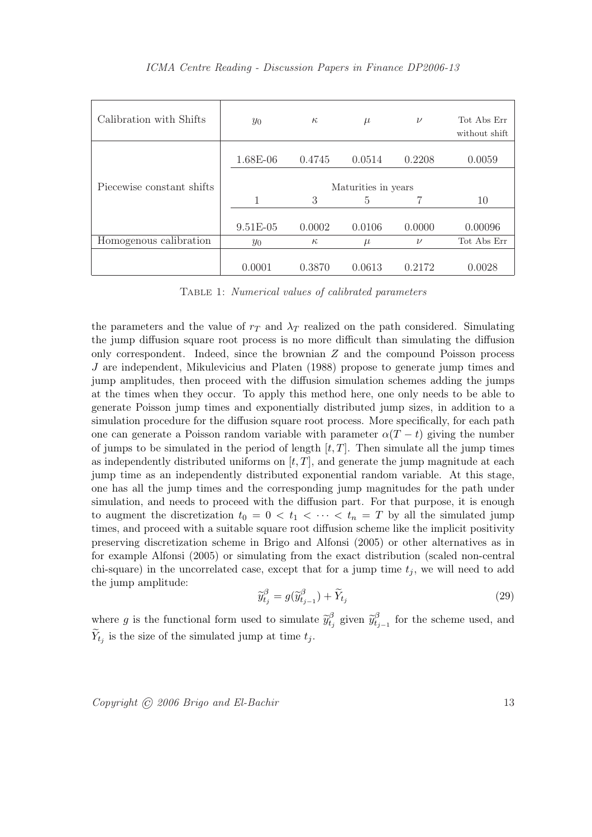| Calibration with Shifts   | $y_0$               | $\kappa$ | $\mu$  | $\nu$  | Tot Abs Err<br>without shift |  |
|---------------------------|---------------------|----------|--------|--------|------------------------------|--|
|                           | 1.68E-06            | 0.4745   | 0.0514 | 0.2208 | 0.0059                       |  |
| Piecewise constant shifts | Maturities in years |          |        |        |                              |  |
|                           | 1                   | 3        | 5      |        | 10                           |  |
|                           |                     |          |        |        |                              |  |
|                           | $9.51E-05$          | 0.0002   | 0.0106 | 0.0000 | 0.00096                      |  |
| Homogenous calibration    | $y_0$               | $\kappa$ | $\mu$  | $\nu$  | Tot Abs Err                  |  |
|                           |                     |          |        |        |                              |  |
|                           | 0.0001              | 0.3870   | 0.0613 | 0.2172 | 0.0028                       |  |

ICMA Centre Reading - Discussion Papers in Finance DP2006-13

Table 1: Numerical values of calibrated parameters

the parameters and the value of  $r<sub>T</sub>$  and  $\lambda<sub>T</sub>$  realized on the path considered. Simulating the jump diffusion square root process is no more difficult than simulating the diffusion only correspondent. Indeed, since the brownian  $Z$  and the compound Poisson process J are independent, Mikulevicius and Platen (1988) propose to generate jump times and jump amplitudes, then proceed with the diffusion simulation schemes adding the jumps at the times when they occur. To apply this method here, one only needs to be able to generate Poisson jump times and exponentially distributed jump sizes, in addition to a simulation procedure for the diffusion square root process. More specifically, for each path one can generate a Poisson random variable with parameter  $\alpha(T - t)$  giving the number of jumps to be simulated in the period of length  $[t, T]$ . Then simulate all the jump times as independently distributed uniforms on  $[t, T]$ , and generate the jump magnitude at each jump time as an independently distributed exponential random variable. At this stage, one has all the jump times and the corresponding jump magnitudes for the path under simulation, and needs to proceed with the diffusion part. For that purpose, it is enough to augment the discretization  $t_0 = 0 < t_1 < \cdots < t_n = T$  by all the simulated jump times, and proceed with a suitable square root diffusion scheme like the implicit positivity preserving discretization scheme in Brigo and Alfonsi (2005) or other alternatives as in for example Alfonsi (2005) or simulating from the exact distribution (scaled non-central chi-square) in the uncorrelated case, except that for a jump time  $t_j$ , we will need to add the jump amplitude:

$$
\widetilde{y}_{t_j}^{\beta} = g(\widetilde{y}_{t_{j-1}}^{\beta}) + \widetilde{Y}_{t_j}
$$
\n(29)

where g is the functional form used to simulate  $\widetilde{y}_t^{\beta}$  $\widetilde{y}_{t_j}^\beta$  given  $\widetilde{y}_{t_j}^\beta$  $t_{i-1}^{\beta}$  for the scheme used, and  $\widetilde{Y}_{t_j}$  is the size of the simulated jump at time  $t_j$ .

 $Copyright \odot 2006 \, Brigo \, and \, El-Bachir$  13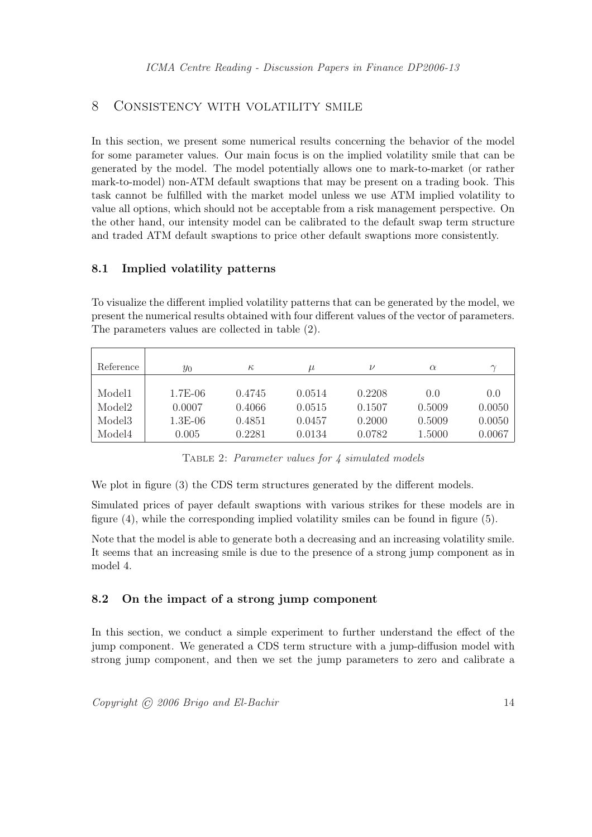## 8 Consistency with volatility smile

In this section, we present some numerical results concerning the behavior of the model for some parameter values. Our main focus is on the implied volatility smile that can be generated by the model. The model potentially allows one to mark-to-market (or rather mark-to-model) non-ATM default swaptions that may be present on a trading book. This task cannot be fulfilled with the market model unless we use ATM implied volatility to value all options, which should not be acceptable from a risk management perspective. On the other hand, our intensity model can be calibrated to the default swap term structure and traded ATM default swaptions to price other default swaptions more consistently.

#### 8.1 Implied volatility patterns

To visualize the different implied volatility patterns that can be generated by the model, we present the numerical results obtained with four different values of the vector of parameters. The parameters values are collected in table (2).

| Reference          | $y_0$     | $\kappa$ | $\mu$  | ν      | $\alpha$ |        |
|--------------------|-----------|----------|--------|--------|----------|--------|
| Model1             | $1.7E-06$ | 0.4745   | 0.0514 | 0.2208 | 0.0      | 0.0    |
| Model <sub>2</sub> | 0.0007    | 0.4066   | 0.0515 | 0.1507 | 0.5009   | 0.0050 |
| Model <sub>3</sub> | $1.3E-06$ | 0.4851   | 0.0457 | 0.2000 | 0.5009   | 0.0050 |
| Model4             | 0.005     | 0.2281   | 0.0134 | 0.0782 | 1.5000   | 0.0067 |

Table 2: Parameter values for 4 simulated models

We plot in figure (3) the CDS term structures generated by the different models.

Simulated prices of payer default swaptions with various strikes for these models are in figure (4), while the corresponding implied volatility smiles can be found in figure (5).

Note that the model is able to generate both a decreasing and an increasing volatility smile. It seems that an increasing smile is due to the presence of a strong jump component as in model 4.

#### 8.2 On the impact of a strong jump component

In this section, we conduct a simple experiment to further understand the effect of the jump component. We generated a CDS term structure with a jump-diffusion model with strong jump component, and then we set the jump parameters to zero and calibrate a

 $Copyright \odot 2006 \, Brigo \, and \, El-Bachir$  14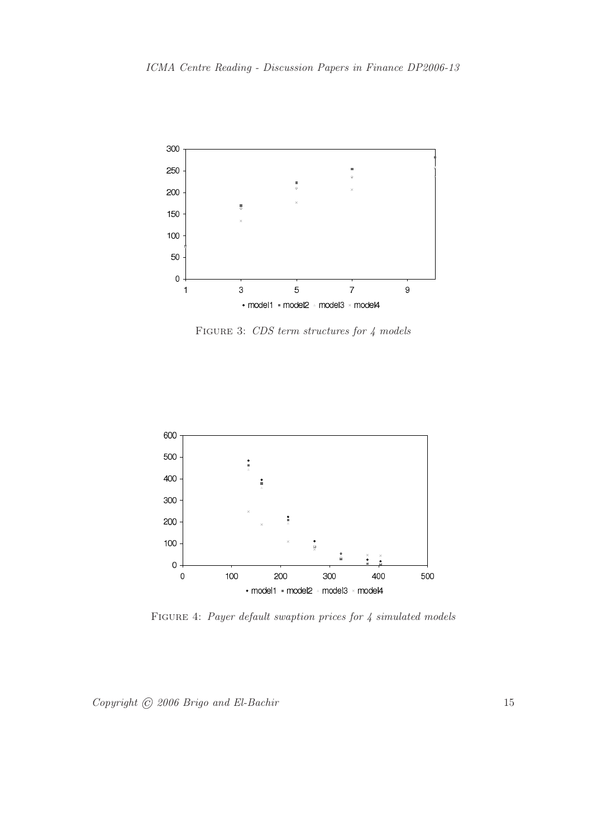

FIGURE 3: CDS term structures for 4 models



FIGURE 4: Payer default swaption prices for 4 simulated models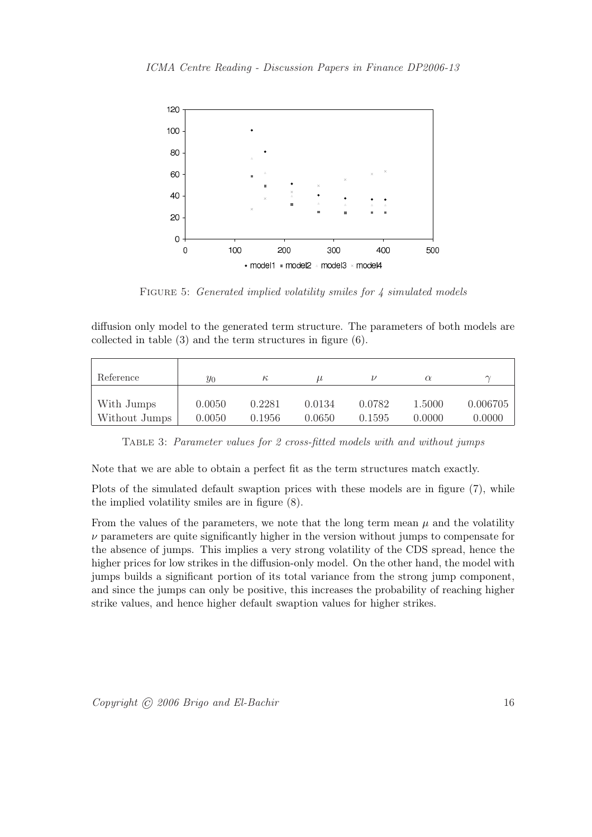

FIGURE 5: *Generated implied volatility smiles for 4 simulated models* 

diffusion only model to the generated term structure. The parameters of both models are collected in table (3) and the term structures in figure (6).

| Reference     | $y_0$  | $\kappa$ | $\mu$  |        | $\alpha$ | $\sim$   |
|---------------|--------|----------|--------|--------|----------|----------|
| With Jumps    | 0.0050 | 0.2281   | 0.0134 | 0.0782 | 1.5000   | 0.006705 |
| Without Jumps | 0.0050 | 0.1956   | 0.0650 | 0.1595 | 0.0000   | 0.0000   |

Table 3: Parameter values for 2 cross-fitted models with and without jumps

Note that we are able to obtain a perfect fit as the term structures match exactly.

Plots of the simulated default swaption prices with these models are in figure (7), while the implied volatility smiles are in figure (8).

From the values of the parameters, we note that the long term mean  $\mu$  and the volatility  $\nu$  parameters are quite significantly higher in the version without jumps to compensate for the absence of jumps. This implies a very strong volatility of the CDS spread, hence the higher prices for low strikes in the diffusion-only model. On the other hand, the model with jumps builds a significant portion of its total variance from the strong jump component, and since the jumps can only be positive, this increases the probability of reaching higher strike values, and hence higher default swaption values for higher strikes.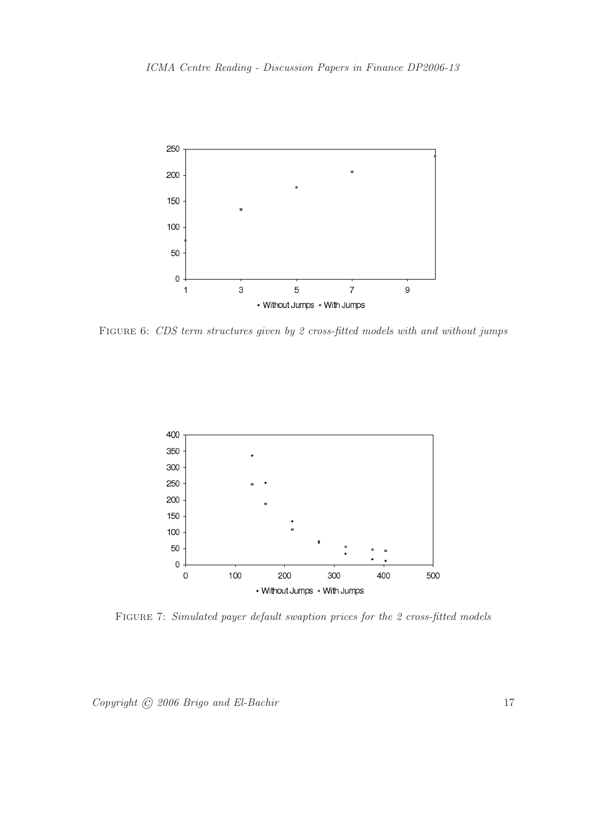

FIGURE 6: CDS term structures given by 2 cross-fitted models with and without jumps



FIGURE 7: Simulated payer default swaption prices for the 2 cross-fitted models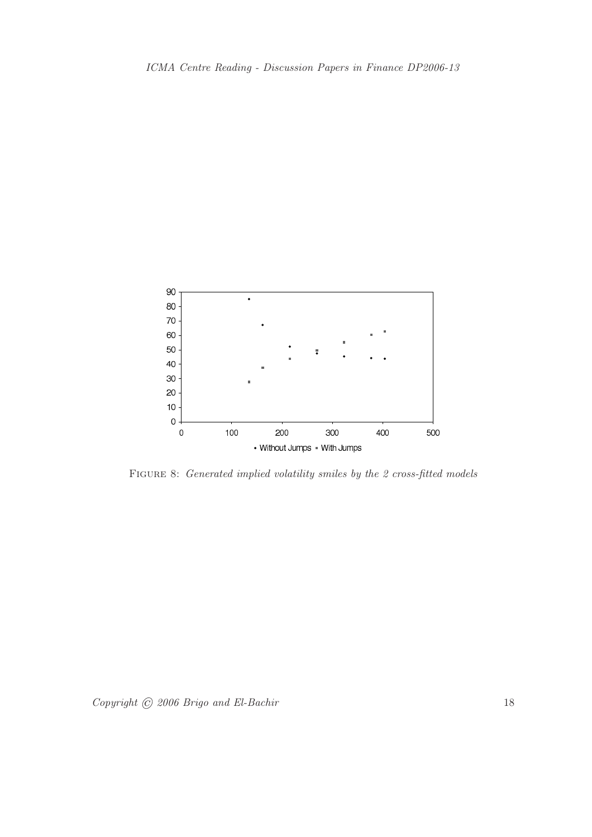

FIGURE 8: Generated implied volatility smiles by the 2 cross-fitted models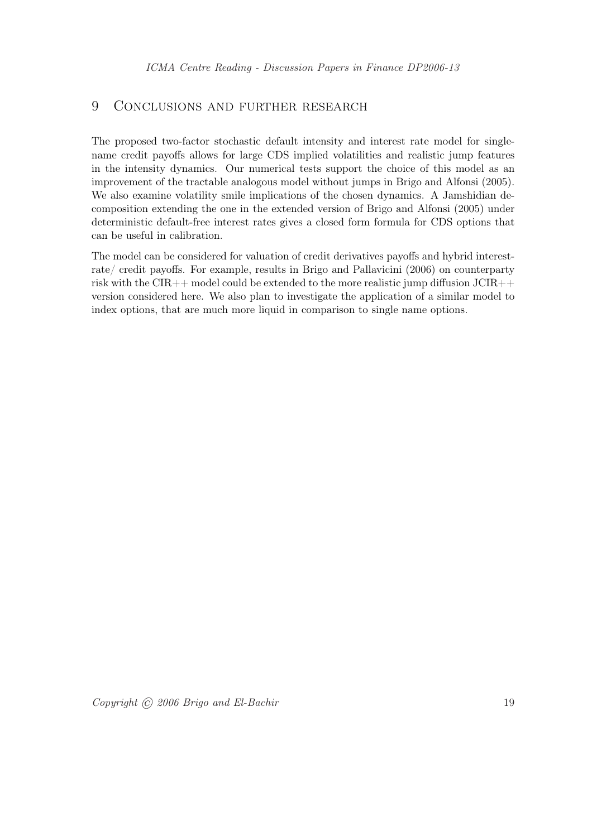## 9 Conclusions and further research

The proposed two-factor stochastic default intensity and interest rate model for singlename credit payoffs allows for large CDS implied volatilities and realistic jump features in the intensity dynamics. Our numerical tests support the choice of this model as an improvement of the tractable analogous model without jumps in Brigo and Alfonsi (2005). We also examine volatility smile implications of the chosen dynamics. A Jamshidian decomposition extending the one in the extended version of Brigo and Alfonsi (2005) under deterministic default-free interest rates gives a closed form formula for CDS options that can be useful in calibration.

The model can be considered for valuation of credit derivatives payoffs and hybrid interestrate/ credit payoffs. For example, results in Brigo and Pallavicini (2006) on counterparty risk with the CIR++ model could be extended to the more realistic jump diffusion JCIR++ version considered here. We also plan to investigate the application of a similar model to index options, that are much more liquid in comparison to single name options.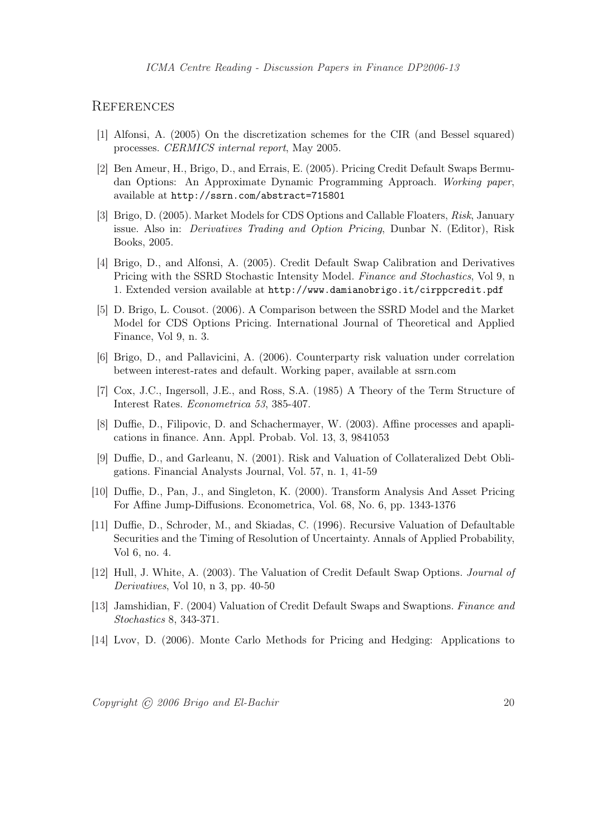#### **REFERENCES**

- [1] Alfonsi, A. (2005) On the discretization schemes for the CIR (and Bessel squared) processes. CERMICS internal report, May 2005.
- [2] Ben Ameur, H., Brigo, D., and Errais, E. (2005). Pricing Credit Default Swaps Bermudan Options: An Approximate Dynamic Programming Approach. Working paper, available at http://ssrn.com/abstract=715801
- [3] Brigo, D. (2005). Market Models for CDS Options and Callable Floaters, Risk, January issue. Also in: Derivatives Trading and Option Pricing, Dunbar N. (Editor), Risk Books, 2005.
- [4] Brigo, D., and Alfonsi, A. (2005). Credit Default Swap Calibration and Derivatives Pricing with the SSRD Stochastic Intensity Model. Finance and Stochastics, Vol 9, n 1. Extended version available at http://www.damianobrigo.it/cirppcredit.pdf
- [5] D. Brigo, L. Cousot. (2006). A Comparison between the SSRD Model and the Market Model for CDS Options Pricing. International Journal of Theoretical and Applied Finance, Vol 9, n. 3.
- [6] Brigo, D., and Pallavicini, A. (2006). Counterparty risk valuation under correlation between interest-rates and default. Working paper, available at ssrn.com
- [7] Cox, J.C., Ingersoll, J.E., and Ross, S.A. (1985) A Theory of the Term Structure of Interest Rates. Econometrica 53, 385-407.
- [8] Duffie, D., Filipovic, D. and Schachermayer, W. (2003). Affine processes and apaplications in finance. Ann. Appl. Probab. Vol. 13, 3, 9841053
- [9] Duffie, D., and Garleanu, N. (2001). Risk and Valuation of Collateralized Debt Obligations. Financial Analysts Journal, Vol. 57, n. 1, 41-59
- [10] Duffie, D., Pan, J., and Singleton, K. (2000). Transform Analysis And Asset Pricing For Affine Jump-Diffusions. Econometrica, Vol. 68, No. 6, pp. 1343-1376
- [11] Duffie, D., Schroder, M., and Skiadas, C. (1996). Recursive Valuation of Defaultable Securities and the Timing of Resolution of Uncertainty. Annals of Applied Probability, Vol 6, no. 4.
- [12] Hull, J. White, A. (2003). The Valuation of Credit Default Swap Options. Journal of Derivatives, Vol 10, n 3, pp. 40-50
- [13] Jamshidian, F. (2004) Valuation of Credit Default Swaps and Swaptions. Finance and Stochastics 8, 343-371.
- [14] Lvov, D. (2006). Monte Carlo Methods for Pricing and Hedging: Applications to